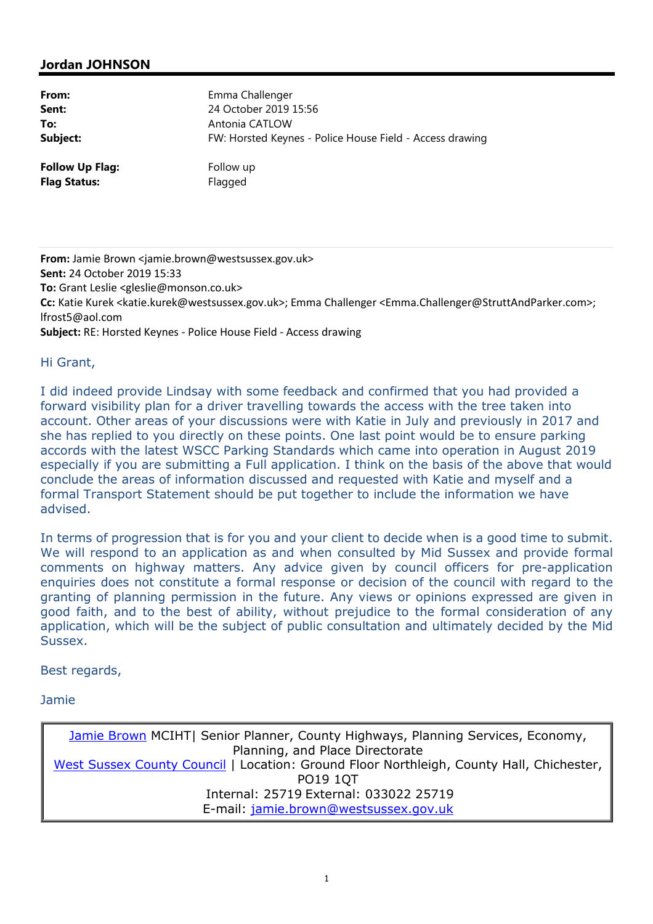# **Jordan JOHNSON**

| From:                  | Emma Challenger                                          |
|------------------------|----------------------------------------------------------|
| Sent:                  | 24 October 2019 15:56                                    |
| To:                    | Antonia CATLOW                                           |
| Subject:               | FW: Horsted Keynes - Police House Field - Access drawing |
| <b>Follow Up Flag:</b> | Follow up                                                |
| <b>Flag Status:</b>    | Flagged                                                  |

**From:** Jamie Brown <jamie.brown@westsussex.gov.uk> **Sent:** 24 October 2019 15:33 **To:** Grant Leslie <gleslie@monson.co.uk> **Cc:** Katie Kurek <katie.kurek@westsussex.gov.uk>; Emma Challenger <Emma.Challenger@StruttAndParker.com>; lfrost5@aol.com **Subject:** RE: Horsted Keynes - Police House Field - Access drawing

### Hi Grant,

I did indeed provide Lindsay with some feedback and confirmed that you had provided a forward visibility plan for a driver travelling towards the access with the tree taken into account. Other areas of your discussions were with Katie in July and previously in 2017 and she has replied to you directly on these points. One last point would be to ensure parking accords with the latest WSCC Parking Standards which came into operation in August 2019 especially if you are submitting a Full application. I think on the basis of the above that would conclude the areas of information discussed and requested with Katie and myself and a formal Transport Statement should be put together to include the information we have advised.

In terms of progression that is for you and your client to decide when is a good time to submit. We will respond to an application as and when consulted by Mid Sussex and provide formal comments on highway matters. Any advice given by council officers for pre-application enquiries does not constitute a formal response or decision of the council with regard to the granting of planning permission in the future. Any views or opinions expressed are given in good faith, and to the best of ability, without prejudice to the formal consideration of any application, which will be the subject of public consultation and ultimately decided by the Mid Sussex.

## Best regards,

Jamie

Jamie Brown MCIHT| Senior Planner, County Highways, Planning Services, Economy, Planning, and Place Directorate West Sussex County Council | Location: Ground Floor Northleigh, County Hall, Chichester, PO19 1QT Internal: 25719 External: 033022 25719 E-mail: jamie.brown@westsussex.gov.uk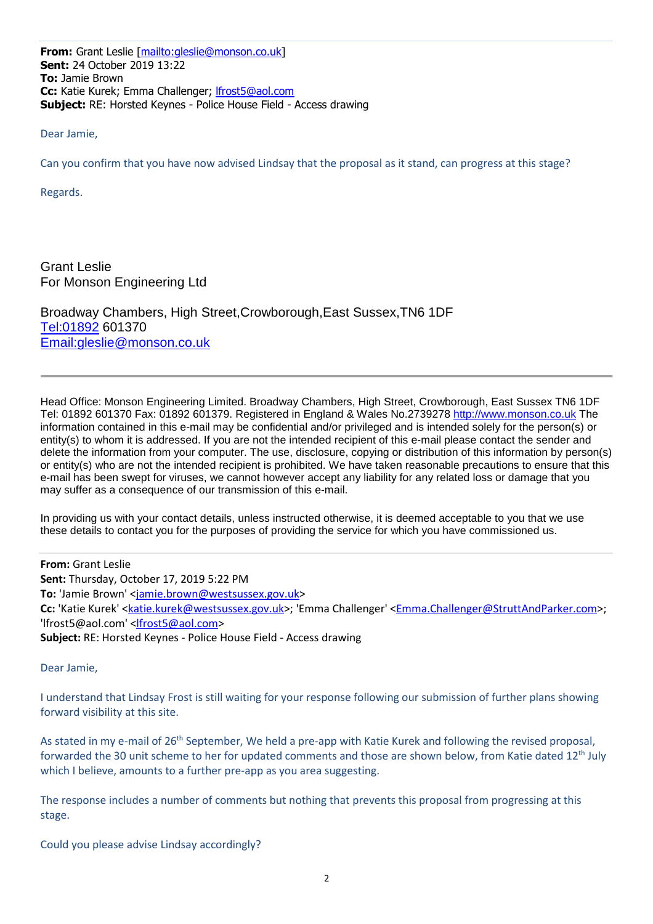**From:** Grant Leslie [mailto:gleslie@monson.co.uk] **Sent:** 24 October 2019 13:22 **To:** Jamie Brown **Cc:** Katie Kurek; Emma Challenger; lfrost5@aol.com **Subject:** RE: Horsted Keynes - Police House Field - Access drawing

Dear Jamie,

Can you confirm that you have now advised Lindsay that the proposal as it stand, can progress at this stage?

Regards.

Grant Leslie For Monson Engineering Ltd

Broadway Chambers, High Street,Crowborough,East Sussex,TN6 1DF Tel:01892 601370 Email:gleslie@monson.co.uk

Head Office: Monson Engineering Limited. Broadway Chambers, High Street, Crowborough, East Sussex TN6 1DF Tel: 01892 601370 Fax: 01892 601379. Registered in England & Wales No.2739278 http://www.monson.co.uk The information contained in this e-mail may be confidential and/or privileged and is intended solely for the person(s) or entity(s) to whom it is addressed. If you are not the intended recipient of this e-mail please contact the sender and delete the information from your computer. The use, disclosure, copying or distribution of this information by person(s) or entity(s) who are not the intended recipient is prohibited. We have taken reasonable precautions to ensure that this e-mail has been swept for viruses, we cannot however accept any liability for any related loss or damage that you may suffer as a consequence of our transmission of this e-mail.

In providing us with your contact details, unless instructed otherwise, it is deemed acceptable to you that we use these details to contact you for the purposes of providing the service for which you have commissioned us.

**From:** Grant Leslie **Sent:** Thursday, October 17, 2019 5:22 PM **To:** 'Jamie Brown' <jamie.brown@westsussex.gov.uk> **Cc:** 'Katie Kurek' <katie.kurek@westsussex.gov.uk>; 'Emma Challenger' <Emma.Challenger@StruttAndParker.com>; 'lfrost5@aol.com' <lfrost5@aol.com> **Subject:** RE: Horsted Keynes - Police House Field - Access drawing

Dear Jamie,

I understand that Lindsay Frost is still waiting for your response following our submission of further plans showing forward visibility at this site.

As stated in my e-mail of 26<sup>th</sup> September, We held a pre-app with Katie Kurek and following the revised proposal, forwarded the 30 unit scheme to her for updated comments and those are shown below, from Katie dated 12<sup>th</sup> July which I believe, amounts to a further pre-app as you area suggesting.

The response includes a number of comments but nothing that prevents this proposal from progressing at this stage.

Could you please advise Lindsay accordingly?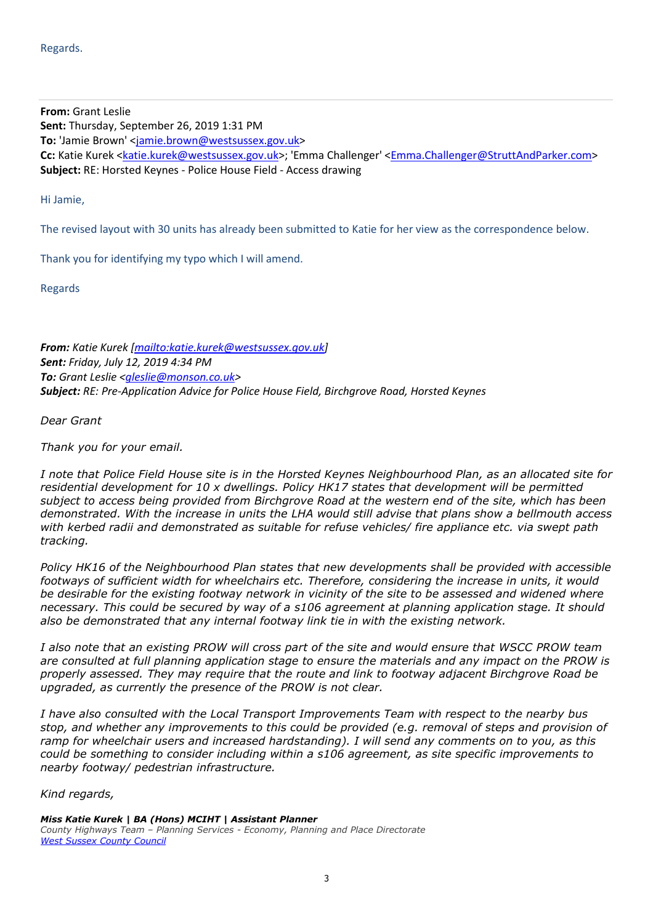**From:** Grant Leslie **Sent:** Thursday, September 26, 2019 1:31 PM **To:** 'Jamie Brown' <jamie.brown@westsussex.gov.uk> Cc: Katie Kurek <katie.kurek@westsussex.gov.uk>; 'Emma Challenger' <Emma.Challenger@StruttAndParker.com> **Subject:** RE: Horsted Keynes - Police House Field - Access drawing

Hi Jamie,

The revised layout with 30 units has already been submitted to Katie for her view as the correspondence below.

Thank you for identifying my typo which I will amend.

Regards

*From: Katie Kurek [mailto:katie.kurek@westsussex.gov.uk] Sent: Friday, July 12, 2019 4:34 PM To: Grant Leslie <gleslie@monson.co.uk> Subject: RE: Pre-Application Advice for Police House Field, Birchgrove Road, Horsted Keynes* 

*Dear Grant* 

*Thank you for your email.* 

*I note that Police Field House site is in the Horsted Keynes Neighbourhood Plan, as an allocated site for residential development for 10 x dwellings. Policy HK17 states that development will be permitted subject to access being provided from Birchgrove Road at the western end of the site, which has been demonstrated. With the increase in units the LHA would still advise that plans show a bellmouth access with kerbed radii and demonstrated as suitable for refuse vehicles/ fire appliance etc. via swept path tracking.* 

*Policy HK16 of the Neighbourhood Plan states that new developments shall be provided with accessible footways of sufficient width for wheelchairs etc. Therefore, considering the increase in units, it would be desirable for the existing footway network in vicinity of the site to be assessed and widened where necessary. This could be secured by way of a s106 agreement at planning application stage. It should also be demonstrated that any internal footway link tie in with the existing network.* 

*I also note that an existing PROW will cross part of the site and would ensure that WSCC PROW team are consulted at full planning application stage to ensure the materials and any impact on the PROW is properly assessed. They may require that the route and link to footway adjacent Birchgrove Road be upgraded, as currently the presence of the PROW is not clear.* 

*I have also consulted with the Local Transport Improvements Team with respect to the nearby bus stop, and whether any improvements to this could be provided (e.g. removal of steps and provision of ramp for wheelchair users and increased hardstanding). I will send any comments on to you, as this could be something to consider including within a s106 agreement, as site specific improvements to nearby footway/ pedestrian infrastructure.* 

*Kind regards,* 

*Miss Katie Kurek | BA (Hons) MCIHT | Assistant Planner County Highways Team – Planning Services - Economy, Planning and Place Directorate West Sussex County Council*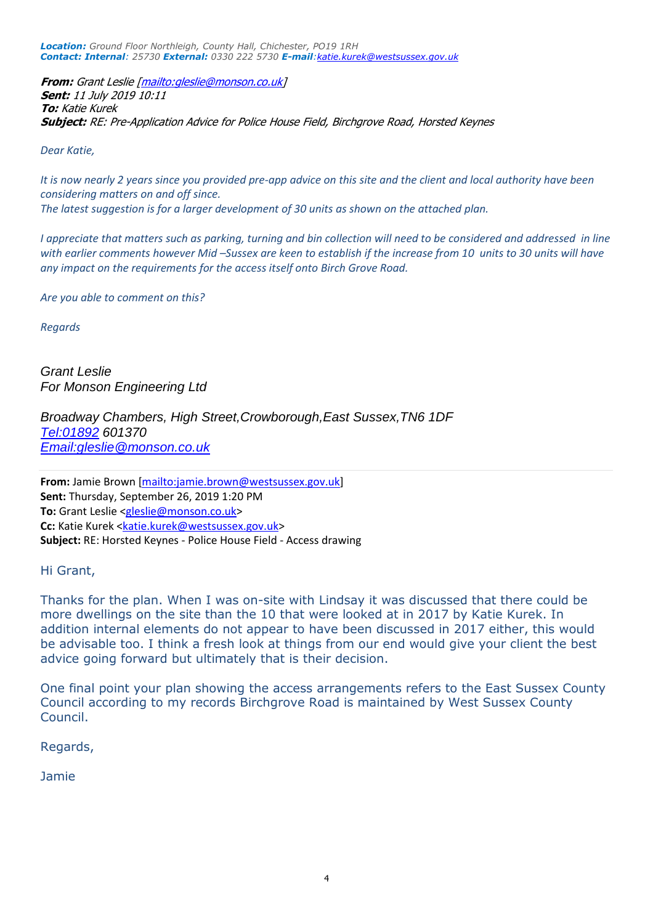*Location: Ground Floor Northleigh, County Hall, Chichester, PO19 1RH Contact: Internal: 25730 External: 0330 222 5730 E-mail:katie.kurek@westsussex.gov.uk*

**From:** Grant Leslie [mailto:gleslie@monson.co.uk] **Sent:** 11 July 2019 10:11 **To:** Katie Kurek **Subject:** RE: Pre-Application Advice for Police House Field, Birchgrove Road, Horsted Keynes

*Dear Katie,* 

*It is now nearly 2 years since you provided pre-app advice on this site and the client and local authority have been considering matters on and off since. The latest suggestion is for a larger development of 30 units as shown on the attached plan.* 

*I appreciate that matters such as parking, turning and bin collection will need to be considered and addressed in line with earlier comments however Mid –Sussex are keen to establish if the increase from 10 units to 30 units will have any impact on the requirements for the access itself onto Birch Grove Road.* 

*Are you able to comment on this?* 

*Regards* 

Grant Leslie For Monson Engineering Ltd

Broadway Chambers, High Street,Crowborough,East Sussex,TN6 1DF Tel:01892 601370 Email:gleslie@monson.co.uk

**From:** Jamie Brown [mailto:jamie.brown@westsussex.gov.uk] **Sent:** Thursday, September 26, 2019 1:20 PM **To:** Grant Leslie <gleslie@monson.co.uk> **Cc:** Katie Kurek <katie.kurek@westsussex.gov.uk> **Subject:** RE: Horsted Keynes - Police House Field - Access drawing

#### Hi Grant,

Thanks for the plan. When I was on-site with Lindsay it was discussed that there could be more dwellings on the site than the 10 that were looked at in 2017 by Katie Kurek. In addition internal elements do not appear to have been discussed in 2017 either, this would be advisable too. I think a fresh look at things from our end would give your client the best advice going forward but ultimately that is their decision.

One final point your plan showing the access arrangements refers to the East Sussex County Council according to my records Birchgrove Road is maintained by West Sussex County Council.

Regards,

Jamie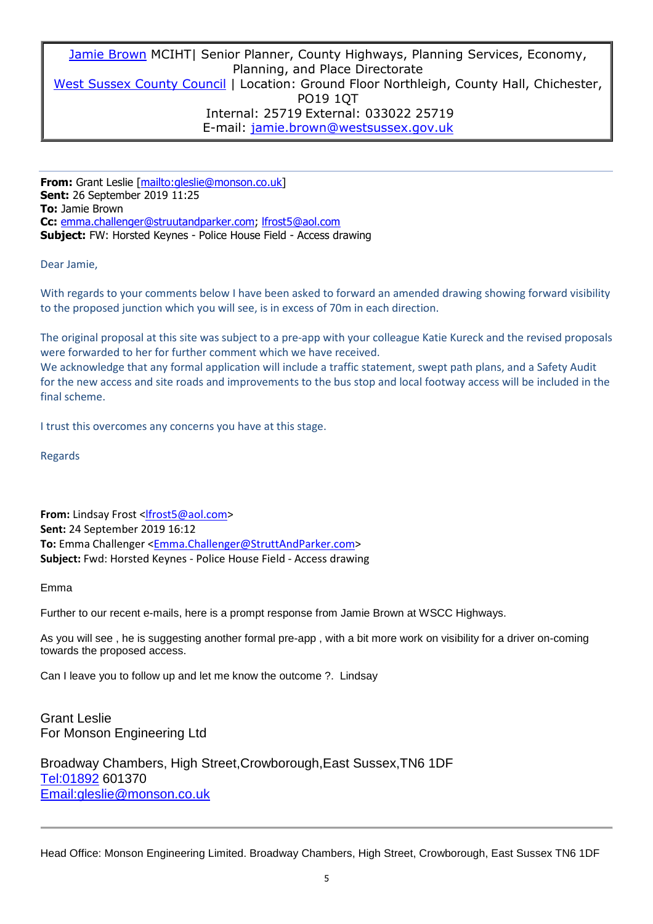Jamie Brown MCIHT| Senior Planner, County Highways, Planning Services, Economy, Planning, and Place Directorate West Sussex County Council | Location: Ground Floor Northleigh, County Hall, Chichester, PO19 1QT Internal: 25719 External: 033022 25719 E-mail: jamie.brown@westsussex.gov.uk

**From:** Grant Leslie [mailto:gleslie@monson.co.uk] **Sent:** 26 September 2019 11:25 **To:** Jamie Brown **Cc:** emma.challenger@struutandparker.com; lfrost5@aol.com **Subject:** FW: Horsted Keynes - Police House Field - Access drawing

Dear Jamie,

With regards to your comments below I have been asked to forward an amended drawing showing forward visibility to the proposed junction which you will see, is in excess of 70m in each direction.

The original proposal at this site was subject to a pre-app with your colleague Katie Kureck and the revised proposals were forwarded to her for further comment which we have received.

We acknowledge that any formal application will include a traffic statement, swept path plans, and a Safety Audit for the new access and site roads and improvements to the bus stop and local footway access will be included in the final scheme.

I trust this overcomes any concerns you have at this stage.

Regards

**From:** Lindsay Frost <lfrost5@aol.com> **Sent:** 24 September 2019 16:12 To: Emma Challenger <**Emma.Challenger@StruttAndParker.com> Subject:** Fwd: Horsted Keynes - Police House Field - Access drawing

Emma

Further to our recent e-mails, here is a prompt response from Jamie Brown at WSCC Highways.

As you will see , he is suggesting another formal pre-app , with a bit more work on visibility for a driver on-coming towards the proposed access.

Can I leave you to follow up and let me know the outcome ?. Lindsay

Grant Leslie For Monson Engineering Ltd

Broadway Chambers, High Street,Crowborough,East Sussex,TN6 1DF Tel:01892 601370 Email:gleslie@monson.co.uk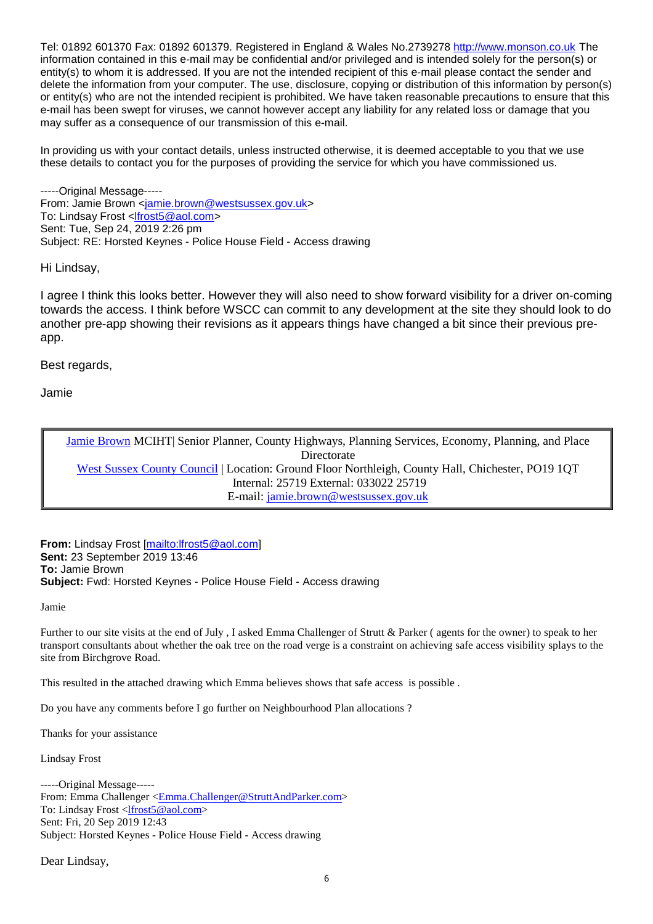Tel: 01892 601370 Fax: 01892 601379. Registered in England & Wales No.2739278 http://www.monson.co.uk The information contained in this e-mail may be confidential and/or privileged and is intended solely for the person(s) or entity(s) to whom it is addressed. If you are not the intended recipient of this e-mail please contact the sender and delete the information from your computer. The use, disclosure, copying or distribution of this information by person(s) or entity(s) who are not the intended recipient is prohibited. We have taken reasonable precautions to ensure that this e-mail has been swept for viruses, we cannot however accept any liability for any related loss or damage that you may suffer as a consequence of our transmission of this e-mail.

In providing us with your contact details, unless instructed otherwise, it is deemed acceptable to you that we use these details to contact you for the purposes of providing the service for which you have commissioned us.

-----Original Message----- From: Jamie Brown <jamie.brown@westsussex.gov.uk> To: Lindsay Frost <lfrost5@aol.com> Sent: Tue, Sep 24, 2019 2:26 pm Subject: RE: Horsted Keynes - Police House Field - Access drawing

Hi Lindsay,

I agree I think this looks better. However they will also need to show forward visibility for a driver on-coming towards the access. I think before WSCC can commit to any development at the site they should look to do another pre-app showing their revisions as it appears things have changed a bit since their previous preapp.

Best regards,

Jamie

Jamie Brown MCIHT| Senior Planner, County Highways, Planning Services, Economy, Planning, and Place Directorate West Sussex County Council | Location: Ground Floor Northleigh, County Hall, Chichester, PO19 1QT Internal: 25719 External: 033022 25719 E-mail: jamie.brown@westsussex.gov.uk

**From:** Lindsay Frost [mailto:lfrost5@aol.com] **Sent:** 23 September 2019 13:46 **To:** Jamie Brown **Subject:** Fwd: Horsted Keynes - Police House Field - Access drawing

Jamie

Further to our site visits at the end of July , I asked Emma Challenger of Strutt & Parker ( agents for the owner) to speak to her transport consultants about whether the oak tree on the road verge is a constraint on achieving safe access visibility splays to the site from Birchgrove Road.

This resulted in the attached drawing which Emma believes shows that safe access is possible .

Do you have any comments before I go further on Neighbourhood Plan allocations ?

Thanks for your assistance

Lindsay Frost

-----Original Message----- From: Emma Challenger <Emma.Challenger@StruttAndParker.com> To: Lindsay Frost <lfrost5@aol.com> Sent: Fri, 20 Sep 2019 12:43 Subject: Horsted Keynes - Police House Field - Access drawing

Dear Lindsay,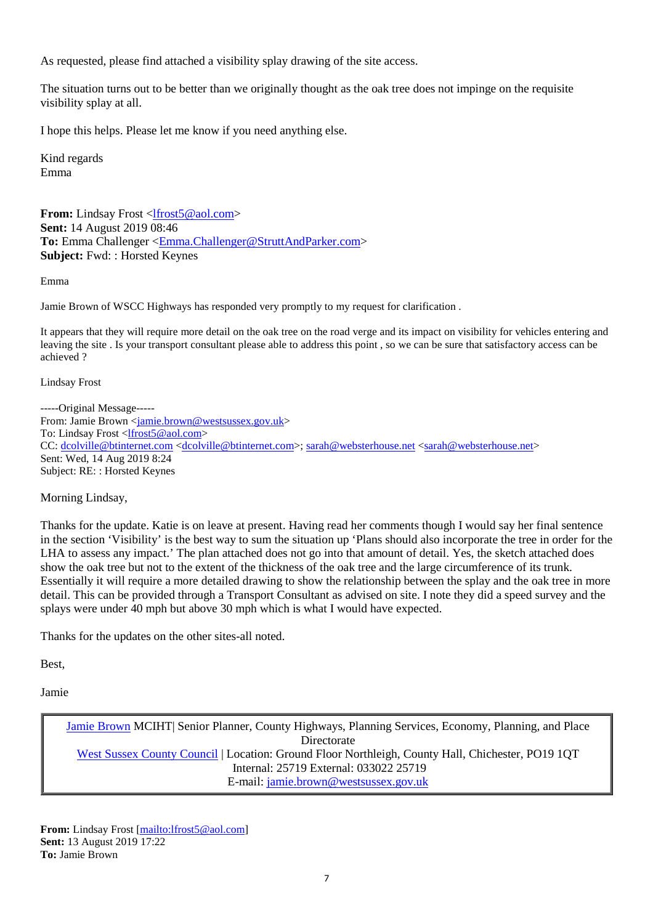As requested, please find attached a visibility splay drawing of the site access.

The situation turns out to be better than we originally thought as the oak tree does not impinge on the requisite visibility splay at all.

I hope this helps. Please let me know if you need anything else.

Kind regards Emma

**From:** Lindsay Frost <lfrost5@aol.com> **Sent:** 14 August 2019 08:46 To: Emma Challenger <**Emma.Challenger@StruttAndParker.com**> **Subject:** Fwd: : Horsted Keynes

Emma

Jamie Brown of WSCC Highways has responded very promptly to my request for clarification .

It appears that they will require more detail on the oak tree on the road verge and its impact on visibility for vehicles entering and leaving the site . Is your transport consultant please able to address this point , so we can be sure that satisfactory access can be achieved ?

Lindsay Frost

-----Original Message----- From: Jamie Brown <jamie.brown@westsussex.gov.uk> To: Lindsay Frost <lfrost5@aol.com> CC: dcolville@btinternet.com <dcolville@btinternet.com>; sarah@websterhouse.net <sarah@websterhouse.net> Sent: Wed, 14 Aug 2019 8:24 Subject: RE: : Horsted Keynes

Morning Lindsay,

Thanks for the update. Katie is on leave at present. Having read her comments though I would say her final sentence in the section 'Visibility' is the best way to sum the situation up 'Plans should also incorporate the tree in order for the LHA to assess any impact.' The plan attached does not go into that amount of detail. Yes, the sketch attached does show the oak tree but not to the extent of the thickness of the oak tree and the large circumference of its trunk. Essentially it will require a more detailed drawing to show the relationship between the splay and the oak tree in more detail. This can be provided through a Transport Consultant as advised on site. I note they did a speed survey and the splays were under 40 mph but above 30 mph which is what I would have expected.

Thanks for the updates on the other sites-all noted.

Best,

Jamie

Jamie Brown MCIHT| Senior Planner, County Highways, Planning Services, Economy, Planning, and Place Directorate West Sussex County Council | Location: Ground Floor Northleigh, County Hall, Chichester, PO19 1QT Internal: 25719 External: 033022 25719 E-mail: jamie.brown@westsussex.gov.uk

From: Lindsay Frost [mailto:lfrost5@aol.com] **Sent:** 13 August 2019 17:22 **To:** Jamie Brown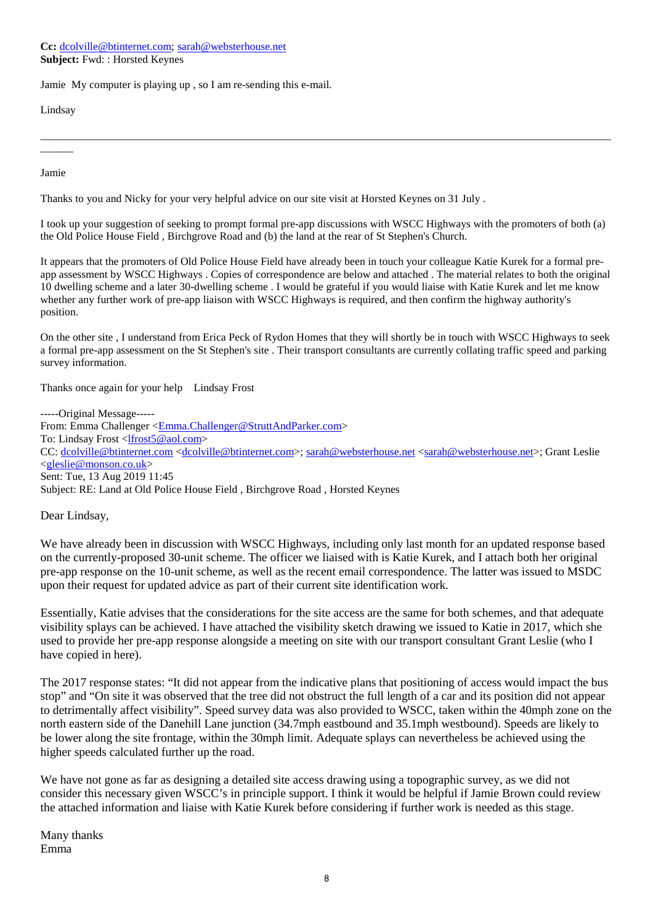**Cc:** dcolville@btinternet.com; sarah@websterhouse.net **Subject:** Fwd: : Horsted Keynes

Jamie My computer is playing up , so I am re-sending this e-mail.

Lindsay

Jamie

 $\overline{\phantom{a}}$ 

Thanks to you and Nicky for your very helpful advice on our site visit at Horsted Keynes on 31 July .

I took up your suggestion of seeking to prompt formal pre-app discussions with WSCC Highways with the promoters of both (a) the Old Police House Field , Birchgrove Road and (b) the land at the rear of St Stephen's Church.

\_\_\_\_\_\_\_\_\_\_\_\_\_\_\_\_\_\_\_\_\_\_\_\_\_\_\_\_\_\_\_\_\_\_\_\_\_\_\_\_\_\_\_\_\_\_\_\_\_\_\_\_\_\_\_\_\_\_\_\_\_\_\_\_\_\_\_\_\_\_\_\_\_\_\_\_\_\_\_\_\_\_\_\_\_\_\_\_\_\_\_\_\_\_\_\_\_\_\_\_\_\_\_\_

It appears that the promoters of Old Police House Field have already been in touch your colleague Katie Kurek for a formal preapp assessment by WSCC Highways . Copies of correspondence are below and attached . The material relates to both the original 10 dwelling scheme and a later 30-dwelling scheme . I would be grateful if you would liaise with Katie Kurek and let me know whether any further work of pre-app liaison with WSCC Highways is required, and then confirm the highway authority's position.

On the other site , I understand from Erica Peck of Rydon Homes that they will shortly be in touch with WSCC Highways to seek a formal pre-app assessment on the St Stephen's site . Their transport consultants are currently collating traffic speed and parking survey information.

Thanks once again for your help Lindsay Frost

-----Original Message----- From: Emma Challenger <**Emma.Challenger@StruttAndParker.com>** To: Lindsay Frost <lfrost5@aol.com> CC: dcolville@btinternet.com <dcolville@btinternet.com>; sarah@websterhouse.net <sarah@websterhouse.net>; Grant Leslie <gleslie@monson.co.uk> Sent: Tue, 13 Aug 2019 11:45 Subject: RE: Land at Old Police House Field , Birchgrove Road , Horsted Keynes

Dear Lindsay,

We have already been in discussion with WSCC Highways, including only last month for an updated response based on the currently-proposed 30-unit scheme. The officer we liaised with is Katie Kurek, and I attach both her original pre-app response on the 10-unit scheme, as well as the recent email correspondence. The latter was issued to MSDC upon their request for updated advice as part of their current site identification work.

Essentially, Katie advises that the considerations for the site access are the same for both schemes, and that adequate visibility splays can be achieved. I have attached the visibility sketch drawing we issued to Katie in 2017, which she used to provide her pre-app response alongside a meeting on site with our transport consultant Grant Leslie (who I have copied in here).

The 2017 response states: "It did not appear from the indicative plans that positioning of access would impact the bus stop" and "On site it was observed that the tree did not obstruct the full length of a car and its position did not appear to detrimentally affect visibility". Speed survey data was also provided to WSCC, taken within the 40mph zone on the north eastern side of the Danehill Lane junction (34.7mph eastbound and 35.1mph westbound). Speeds are likely to be lower along the site frontage, within the 30mph limit. Adequate splays can nevertheless be achieved using the higher speeds calculated further up the road.

We have not gone as far as designing a detailed site access drawing using a topographic survey, as we did not consider this necessary given WSCC's in principle support. I think it would be helpful if Jamie Brown could review the attached information and liaise with Katie Kurek before considering if further work is needed as this stage.

Many thanks Emma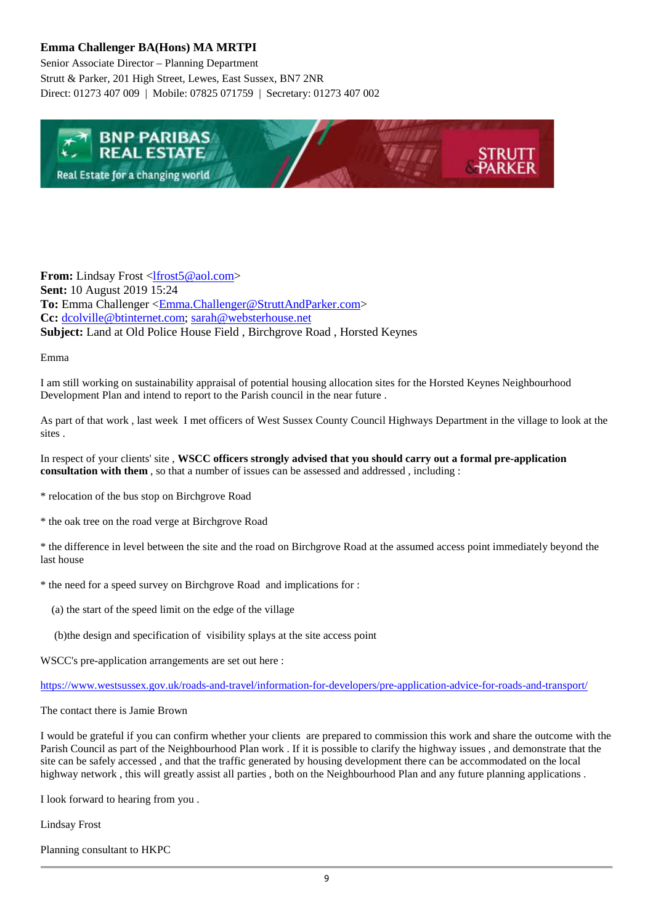## **Emma Challenger BA(Hons) MA MRTPI**

Senior Associate Director – Planning Department Strutt & Parker, 201 High Street, Lewes, East Sussex, BN7 2NR Direct: 01273 407 009 | Mobile: 07825 071759 | Secretary: 01273 407 002



**From:** Lindsay Frost <lfrost5@aol.com> **Sent:** 10 August 2019 15:24 **To:** Emma Challenger <Emma.Challenger@StruttAndParker.com> **Cc:** dcolville@btinternet.com; sarah@websterhouse.net **Subject:** Land at Old Police House Field , Birchgrove Road , Horsted Keynes

Emma

I am still working on sustainability appraisal of potential housing allocation sites for the Horsted Keynes Neighbourhood Development Plan and intend to report to the Parish council in the near future .

As part of that work , last week I met officers of West Sussex County Council Highways Department in the village to look at the sites .

In respect of your clients' site , **WSCC officers strongly advised that you should carry out a formal pre-application consultation with them** , so that a number of issues can be assessed and addressed , including :

- \* relocation of the bus stop on Birchgrove Road
- \* the oak tree on the road verge at Birchgrove Road

\* the difference in level between the site and the road on Birchgrove Road at the assumed access point immediately beyond the last house

- \* the need for a speed survey on Birchgrove Road and implications for :
	- (a) the start of the speed limit on the edge of the village
	- (b)the design and specification of visibility splays at the site access point

WSCC's pre-application arrangements are set out here :

https://www.westsussex.gov.uk/roads-and-travel/information-for-developers/pre-application-advice-for-roads-and-transport/

The contact there is Jamie Brown

I would be grateful if you can confirm whether your clients are prepared to commission this work and share the outcome with the Parish Council as part of the Neighbourhood Plan work . If it is possible to clarify the highway issues , and demonstrate that the site can be safely accessed , and that the traffic generated by housing development there can be accommodated on the local highway network , this will greatly assist all parties , both on the Neighbourhood Plan and any future planning applications .

I look forward to hearing from you .

Lindsay Frost

Planning consultant to HKPC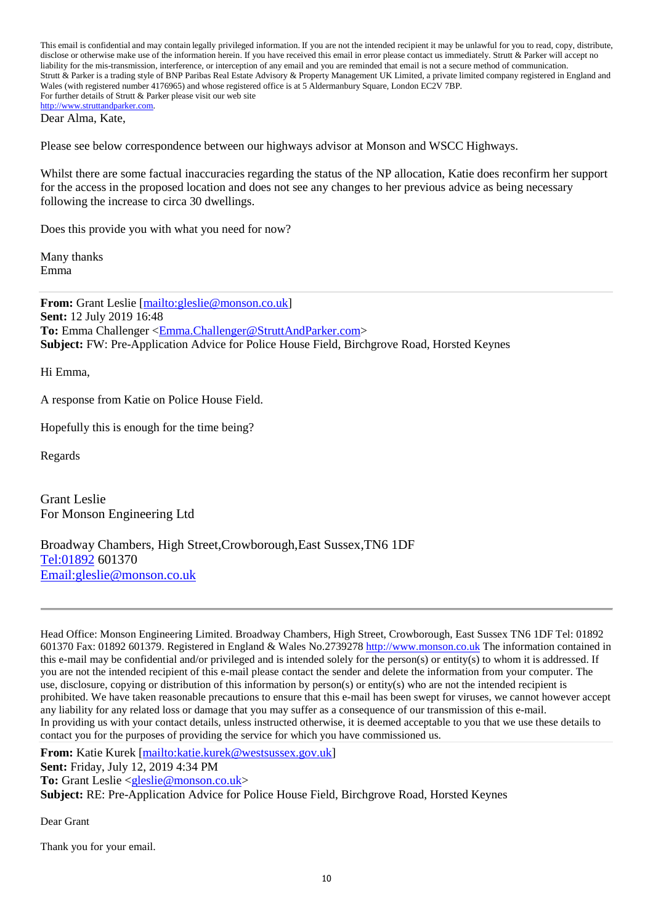This email is confidential and may contain legally privileged information. If you are not the intended recipient it may be unlawful for you to read, copy, distribute, disclose or otherwise make use of the information herein. If you have received this email in error please contact us immediately. Strutt & Parker will accept no liability for the mis-transmission, interference, or interception of any email and you are reminded that email is not a secure method of communication. Strutt & Parker is a trading style of BNP Paribas Real Estate Advisory & Property Management UK Limited, a private limited company registered in England and Wales (with registered number 4176965) and whose registered office is at 5 Aldermanbury Square, London EC2V 7BP. For further details of Strutt & Parker please visit our web site http://www.struttandparker.com.

Dear Alma, Kate,

Please see below correspondence between our highways advisor at Monson and WSCC Highways.

Whilst there are some factual inaccuracies regarding the status of the NP allocation, Katie does reconfirm her support for the access in the proposed location and does not see any changes to her previous advice as being necessary following the increase to circa 30 dwellings.

Does this provide you with what you need for now?

Many thanks Emma

**From:** Grant Leslie [mailto:gleslie@monson.co.uk] **Sent:** 12 July 2019 16:48 To: Emma Challenger <**Emma.Challenger@StruttAndParker.com> Subject:** FW: Pre-Application Advice for Police House Field, Birchgrove Road, Horsted Keynes

Hi Emma,

A response from Katie on Police House Field.

Hopefully this is enough for the time being?

Regards

Grant Leslie For Monson Engineering Ltd

Broadway Chambers, High Street,Crowborough,East Sussex,TN6 1DF Tel:01892 601370 Email:gleslie@monson.co.uk

Head Office: Monson Engineering Limited. Broadway Chambers, High Street, Crowborough, East Sussex TN6 1DF Tel: 01892 601370 Fax: 01892 601379. Registered in England & Wales No.2739278 http://www.monson.co.uk The information contained in this e-mail may be confidential and/or privileged and is intended solely for the person(s) or entity(s) to whom it is addressed. If you are not the intended recipient of this e-mail please contact the sender and delete the information from your computer. The use, disclosure, copying or distribution of this information by person(s) or entity(s) who are not the intended recipient is prohibited. We have taken reasonable precautions to ensure that this e-mail has been swept for viruses, we cannot however accept any liability for any related loss or damage that you may suffer as a consequence of our transmission of this e-mail. In providing us with your contact details, unless instructed otherwise, it is deemed acceptable to you that we use these details to contact you for the purposes of providing the service for which you have commissioned us.

**From:** Katie Kurek [mailto:katie.kurek@westsussex.gov.uk]

**Sent:** Friday, July 12, 2019 4:34 PM

**To:** Grant Leslie <gleslie@monson.co.uk>

**Subject:** RE: Pre-Application Advice for Police House Field, Birchgrove Road, Horsted Keynes

Dear Grant

Thank you for your email.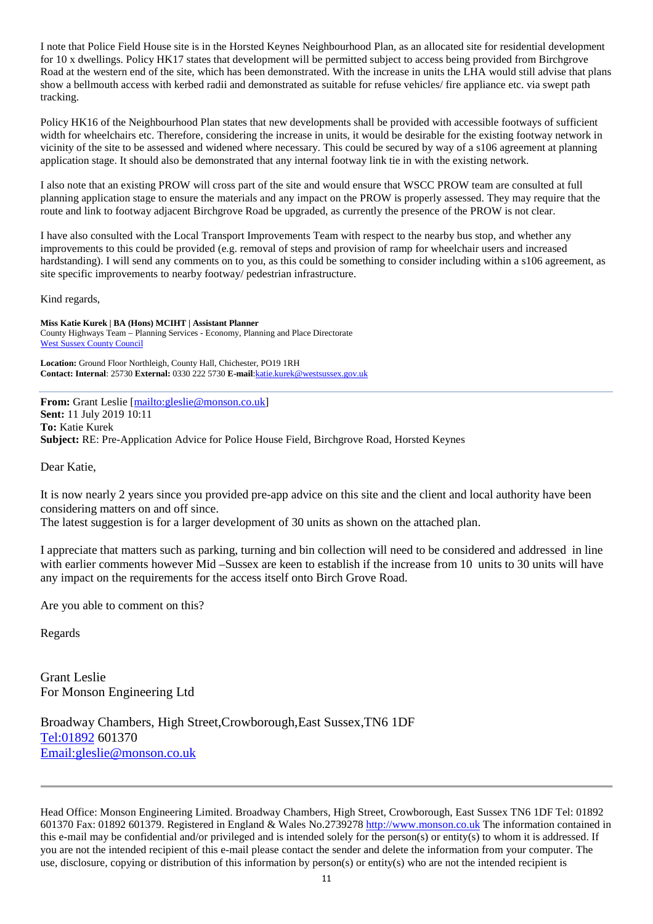I note that Police Field House site is in the Horsted Keynes Neighbourhood Plan, as an allocated site for residential development for 10 x dwellings. Policy HK17 states that development will be permitted subject to access being provided from Birchgrove Road at the western end of the site, which has been demonstrated. With the increase in units the LHA would still advise that plans show a bellmouth access with kerbed radii and demonstrated as suitable for refuse vehicles/ fire appliance etc. via swept path tracking.

Policy HK16 of the Neighbourhood Plan states that new developments shall be provided with accessible footways of sufficient width for wheelchairs etc. Therefore, considering the increase in units, it would be desirable for the existing footway network in vicinity of the site to be assessed and widened where necessary. This could be secured by way of a s106 agreement at planning application stage. It should also be demonstrated that any internal footway link tie in with the existing network.

I also note that an existing PROW will cross part of the site and would ensure that WSCC PROW team are consulted at full planning application stage to ensure the materials and any impact on the PROW is properly assessed. They may require that the route and link to footway adjacent Birchgrove Road be upgraded, as currently the presence of the PROW is not clear.

I have also consulted with the Local Transport Improvements Team with respect to the nearby bus stop, and whether any improvements to this could be provided (e.g. removal of steps and provision of ramp for wheelchair users and increased hardstanding). I will send any comments on to you, as this could be something to consider including within a s106 agreement, as site specific improvements to nearby footway/ pedestrian infrastructure.

Kind regards,

**Miss Katie Kurek | BA (Hons) MCIHT | Assistant Planner**  County Highways Team – Planning Services - Economy, Planning and Place Directorate West Sussex County Council

**Location:** Ground Floor Northleigh, County Hall, Chichester, PO19 1RH **Contact: Internal**: 25730 **External:** 0330 222 5730 **E-mail**:katie.kurek@westsussex.gov.uk

**From:** Grant Leslie [mailto:gleslie@monson.co.uk] **Sent:** 11 July 2019 10:11 **To:** Katie Kurek **Subject:** RE: Pre-Application Advice for Police House Field, Birchgrove Road, Horsted Keynes

Dear Katie,

It is now nearly 2 years since you provided pre-app advice on this site and the client and local authority have been considering matters on and off since.

The latest suggestion is for a larger development of 30 units as shown on the attached plan.

I appreciate that matters such as parking, turning and bin collection will need to be considered and addressed in line with earlier comments however Mid –Sussex are keen to establish if the increase from 10 units to 30 units will have any impact on the requirements for the access itself onto Birch Grove Road.

Are you able to comment on this?

Regards

Grant Leslie For Monson Engineering Ltd

Broadway Chambers, High Street,Crowborough,East Sussex,TN6 1DF Tel:01892 601370 Email:gleslie@monson.co.uk

Head Office: Monson Engineering Limited. Broadway Chambers, High Street, Crowborough, East Sussex TN6 1DF Tel: 01892 601370 Fax: 01892 601379. Registered in England & Wales No.2739278 http://www.monson.co.uk The information contained in this e-mail may be confidential and/or privileged and is intended solely for the person(s) or entity(s) to whom it is addressed. If you are not the intended recipient of this e-mail please contact the sender and delete the information from your computer. The use, disclosure, copying or distribution of this information by person(s) or entity(s) who are not the intended recipient is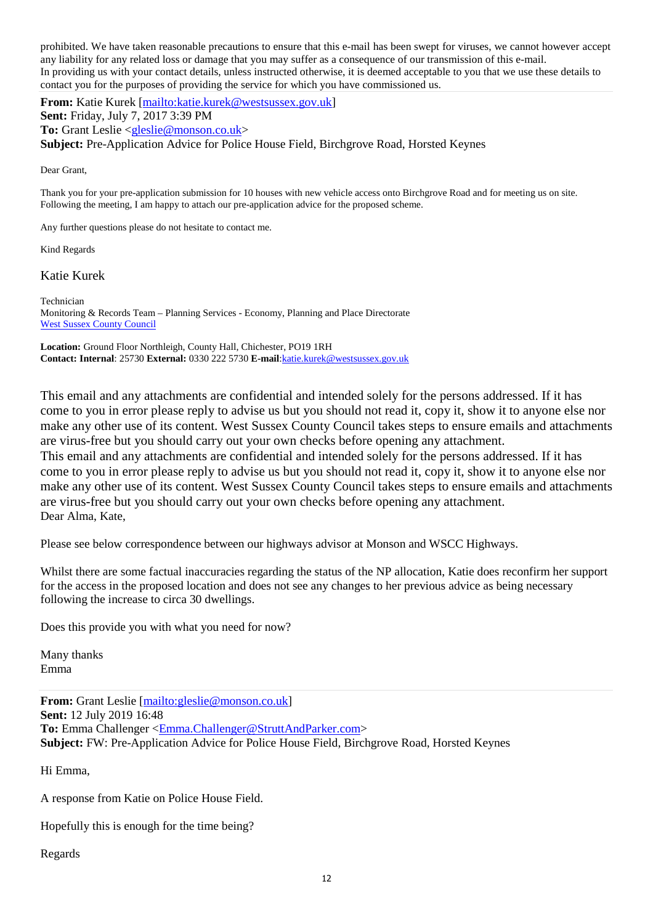prohibited. We have taken reasonable precautions to ensure that this e-mail has been swept for viruses, we cannot however accept any liability for any related loss or damage that you may suffer as a consequence of our transmission of this e-mail. In providing us with your contact details, unless instructed otherwise, it is deemed acceptable to you that we use these details to contact you for the purposes of providing the service for which you have commissioned us.

**From:** Katie Kurek [mailto:katie.kurek@westsussex.gov.uk] **Sent:** Friday, July 7, 2017 3:39 PM **To:** Grant Leslie <gleslie@monson.co.uk>

**Subject:** Pre-Application Advice for Police House Field, Birchgrove Road, Horsted Keynes

Dear Grant,

Thank you for your pre-application submission for 10 houses with new vehicle access onto Birchgrove Road and for meeting us on site. Following the meeting, I am happy to attach our pre-application advice for the proposed scheme.

Any further questions please do not hesitate to contact me.

Kind Regards

Katie Kurek

Technician Monitoring & Records Team – Planning Services - Economy, Planning and Place Directorate West Sussex County Council

**Location:** Ground Floor Northleigh, County Hall, Chichester, PO19 1RH **Contact: Internal**: 25730 **External:** 0330 222 5730 **E-mail**:katie.kurek@westsussex.gov.uk

This email and any attachments are confidential and intended solely for the persons addressed. If it has come to you in error please reply to advise us but you should not read it, copy it, show it to anyone else nor make any other use of its content. West Sussex County Council takes steps to ensure emails and attachments are virus-free but you should carry out your own checks before opening any attachment.

This email and any attachments are confidential and intended solely for the persons addressed. If it has come to you in error please reply to advise us but you should not read it, copy it, show it to anyone else nor make any other use of its content. West Sussex County Council takes steps to ensure emails and attachments are virus-free but you should carry out your own checks before opening any attachment. Dear Alma, Kate,

Please see below correspondence between our highways advisor at Monson and WSCC Highways.

Whilst there are some factual inaccuracies regarding the status of the NP allocation, Katie does reconfirm her support for the access in the proposed location and does not see any changes to her previous advice as being necessary following the increase to circa 30 dwellings.

Does this provide you with what you need for now?

Many thanks Emma

From: Grant Leslie [mailto:gleslie@monson.co.uk] **Sent:** 12 July 2019 16:48 **To:** Emma Challenger <Emma.Challenger@StruttAndParker.com> **Subject:** FW: Pre-Application Advice for Police House Field, Birchgrove Road, Horsted Keynes

Hi Emma,

A response from Katie on Police House Field.

Hopefully this is enough for the time being?

Regards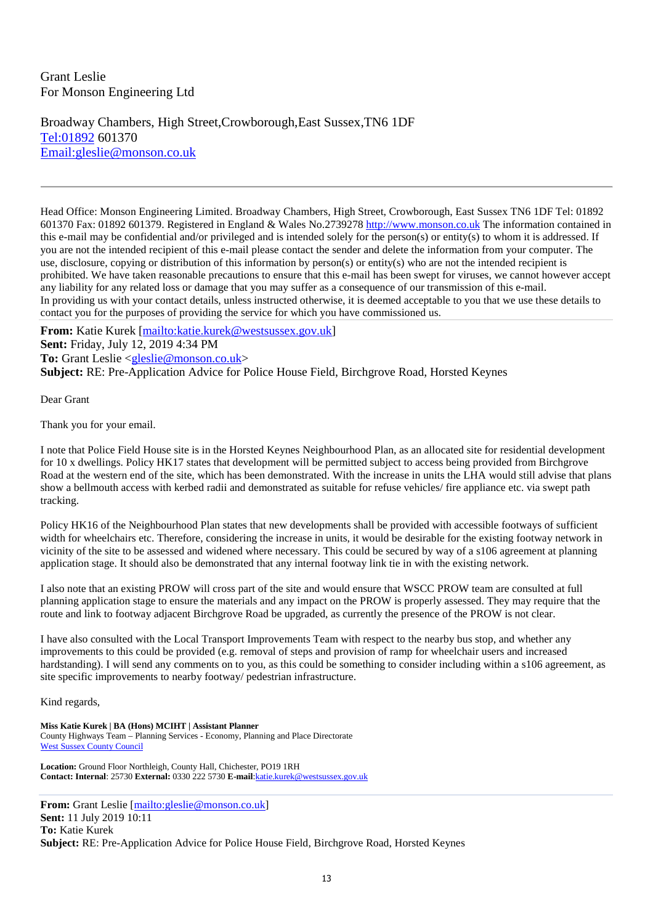## Grant Leslie For Monson Engineering Ltd

Broadway Chambers, High Street,Crowborough,East Sussex,TN6 1DF Tel:01892 601370 Email:gleslie@monson.co.uk

Head Office: Monson Engineering Limited. Broadway Chambers, High Street, Crowborough, East Sussex TN6 1DF Tel: 01892 601370 Fax: 01892 601379. Registered in England & Wales No.2739278 http://www.monson.co.uk The information contained in this e-mail may be confidential and/or privileged and is intended solely for the person(s) or entity(s) to whom it is addressed. If you are not the intended recipient of this e-mail please contact the sender and delete the information from your computer. The use, disclosure, copying or distribution of this information by person(s) or entity(s) who are not the intended recipient is prohibited. We have taken reasonable precautions to ensure that this e-mail has been swept for viruses, we cannot however accept any liability for any related loss or damage that you may suffer as a consequence of our transmission of this e-mail. In providing us with your contact details, unless instructed otherwise, it is deemed acceptable to you that we use these details to contact you for the purposes of providing the service for which you have commissioned us.

**From:** Katie Kurek [mailto:katie.kurek@westsussex.gov.uk] **Sent:** Friday, July 12, 2019 4:34 PM **To:** Grant Leslie <gleslie@monson.co.uk> **Subject:** RE: Pre-Application Advice for Police House Field, Birchgrove Road, Horsted Keynes

Dear Grant

Thank you for your email.

I note that Police Field House site is in the Horsted Keynes Neighbourhood Plan, as an allocated site for residential development for 10 x dwellings. Policy HK17 states that development will be permitted subject to access being provided from Birchgrove Road at the western end of the site, which has been demonstrated. With the increase in units the LHA would still advise that plans show a bellmouth access with kerbed radii and demonstrated as suitable for refuse vehicles/ fire appliance etc. via swept path tracking.

Policy HK16 of the Neighbourhood Plan states that new developments shall be provided with accessible footways of sufficient width for wheelchairs etc. Therefore, considering the increase in units, it would be desirable for the existing footway network in vicinity of the site to be assessed and widened where necessary. This could be secured by way of a s106 agreement at planning application stage. It should also be demonstrated that any internal footway link tie in with the existing network.

I also note that an existing PROW will cross part of the site and would ensure that WSCC PROW team are consulted at full planning application stage to ensure the materials and any impact on the PROW is properly assessed. They may require that the route and link to footway adjacent Birchgrove Road be upgraded, as currently the presence of the PROW is not clear.

I have also consulted with the Local Transport Improvements Team with respect to the nearby bus stop, and whether any improvements to this could be provided (e.g. removal of steps and provision of ramp for wheelchair users and increased hardstanding). I will send any comments on to you, as this could be something to consider including within a s106 agreement, as site specific improvements to nearby footway/ pedestrian infrastructure.

#### Kind regards,

**Miss Katie Kurek | BA (Hons) MCIHT | Assistant Planner**  County Highways Team – Planning Services - Economy, Planning and Place Directorate West Sussex County Council

**Location:** Ground Floor Northleigh, County Hall, Chichester, PO19 1RH **Contact: Internal**: 25730 **External:** 0330 222 5730 **E-mail**:katie.kurek@westsussex.gov.uk

From: Grant Leslie [mailto:gleslie@monson.co.uk] **Sent:** 11 July 2019 10:11 **To:** Katie Kurek **Subject:** RE: Pre-Application Advice for Police House Field, Birchgrove Road, Horsted Keynes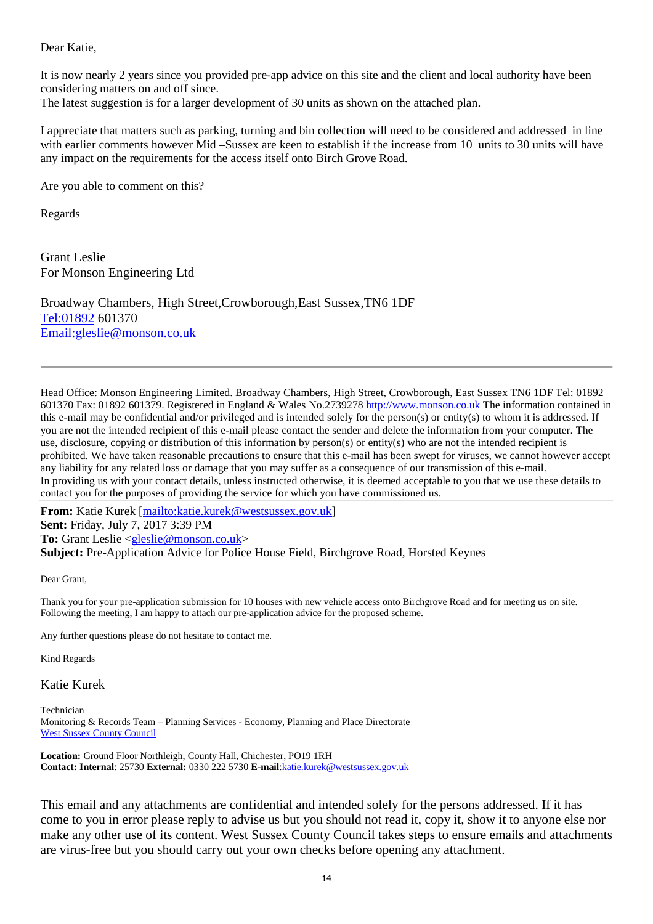Dear Katie,

It is now nearly 2 years since you provided pre-app advice on this site and the client and local authority have been considering matters on and off since.

The latest suggestion is for a larger development of 30 units as shown on the attached plan.

I appreciate that matters such as parking, turning and bin collection will need to be considered and addressed in line with earlier comments however Mid –Sussex are keen to establish if the increase from 10 units to 30 units will have any impact on the requirements for the access itself onto Birch Grove Road.

Are you able to comment on this?

Regards

Grant Leslie For Monson Engineering Ltd

Broadway Chambers, High Street,Crowborough,East Sussex,TN6 1DF Tel:01892 601370 Email:gleslie@monson.co.uk

Head Office: Monson Engineering Limited. Broadway Chambers, High Street, Crowborough, East Sussex TN6 1DF Tel: 01892 601370 Fax: 01892 601379. Registered in England & Wales No.2739278 http://www.monson.co.uk The information contained in this e-mail may be confidential and/or privileged and is intended solely for the person(s) or entity(s) to whom it is addressed. If you are not the intended recipient of this e-mail please contact the sender and delete the information from your computer. The use, disclosure, copying or distribution of this information by person(s) or entity(s) who are not the intended recipient is prohibited. We have taken reasonable precautions to ensure that this e-mail has been swept for viruses, we cannot however accept any liability for any related loss or damage that you may suffer as a consequence of our transmission of this e-mail. In providing us with your contact details, unless instructed otherwise, it is deemed acceptable to you that we use these details to contact you for the purposes of providing the service for which you have commissioned us.

**From:** Katie Kurek [mailto:katie.kurek@westsussex.gov.uk] **Sent:** Friday, July 7, 2017 3:39 PM **To:** Grant Leslie <gleslie@monson.co.uk> **Subject:** Pre-Application Advice for Police House Field, Birchgrove Road, Horsted Keynes

Dear Grant,

Thank you for your pre-application submission for 10 houses with new vehicle access onto Birchgrove Road and for meeting us on site. Following the meeting, I am happy to attach our pre-application advice for the proposed scheme.

Any further questions please do not hesitate to contact me.

Kind Regards

Katie Kurek

Technician Monitoring & Records Team – Planning Services - Economy, Planning and Place Directorate West Sussex County Council

**Location:** Ground Floor Northleigh, County Hall, Chichester, PO19 1RH **Contact: Internal**: 25730 **External:** 0330 222 5730 **E-mail**:katie.kurek@westsussex.gov.uk

This email and any attachments are confidential and intended solely for the persons addressed. If it has come to you in error please reply to advise us but you should not read it, copy it, show it to anyone else nor make any other use of its content. West Sussex County Council takes steps to ensure emails and attachments are virus-free but you should carry out your own checks before opening any attachment.